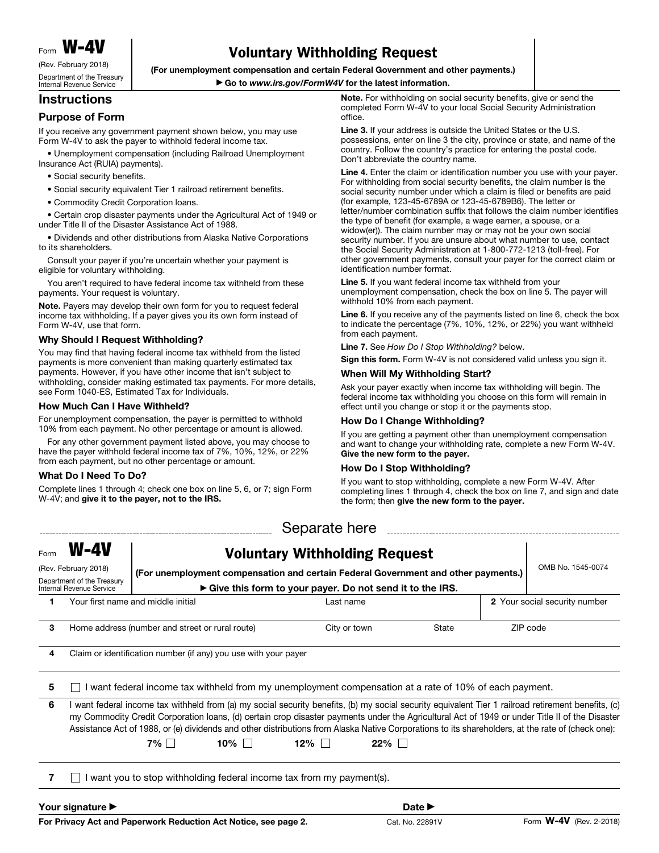Form **W-AV** 

(Rev. February 2018) Department of the Treasury Internal Revenue Service

# Voluntary Withholding Request

(For unemployment compensation and certain Federal Government and other payments.)

## ▶ Go to *www.irs.gov/FormW4V* for the latest information.

# **Instructions**

### Purpose of Form

If you receive any government payment shown below, you may use Form W-4V to ask the payer to withhold federal income tax.

• Unemployment compensation (including Railroad Unemployment Insurance Act (RUIA) payments).

- Social security benefits.
- Social security equivalent Tier 1 railroad retirement benefits.
- Commodity Credit Corporation loans.

• Certain crop disaster payments under the Agricultural Act of 1949 or under Title II of the Disaster Assistance Act of 1988.

• Dividends and other distributions from Alaska Native Corporations to its shareholders.

Consult your payer if you're uncertain whether your payment is eligible for voluntary withholding.

You aren't required to have federal income tax withheld from these payments. Your request is voluntary.

Note. Payers may develop their own form for you to request federal income tax withholding. If a payer gives you its own form instead of Form W-4V, use that form.

#### Why Should I Request Withholding?

You may find that having federal income tax withheld from the listed payments is more convenient than making quarterly estimated tax payments. However, if you have other income that isn't subject to withholding, consider making estimated tax payments. For more details, see Form 1040-ES, Estimated Tax for Individuals.

#### How Much Can I Have Withheld?

For unemployment compensation, the payer is permitted to withhold 10% from each payment. No other percentage or amount is allowed.

For any other government payment listed above, you may choose to have the payer withhold federal income tax of 7%, 10%, 12%, or 22% from each payment, but no other percentage or amount.

#### What Do I Need To Do?

Complete lines 1 through 4; check one box on line 5, 6, or 7; sign Form W-4V; and give it to the payer, not to the IRS.

Note. For withholding on social security benefits, give or send the completed Form W-4V to your local Social Security Administration office.

Line 3. If your address is outside the United States or the U.S. possessions, enter on line 3 the city, province or state, and name of the country. Follow the country's practice for entering the postal code. Don't abbreviate the country name.

Line 4. Enter the claim or identification number you use with your payer. For withholding from social security benefits, the claim number is the social security number under which a claim is filed or benefits are paid (for example, 123-45-6789A or 123-45-6789B6). The letter or letter/number combination suffix that follows the claim number identifies the type of benefit (for example, a wage earner, a spouse, or a widow(er)). The claim number may or may not be your own social security number. If you are unsure about what number to use, contact the Social Security Administration at 1-800-772-1213 (toll-free). For other government payments, consult your payer for the correct claim or identification number format.

Line 5. If you want federal income tax withheld from your unemployment compensation, check the box on line 5. The payer will withhold 10% from each payment.

Line 6. If you receive any of the payments listed on line 6, check the box to indicate the percentage (7%, 10%, 12%, or 22%) you want withheld from each payment.

Line 7. See *How Do I Stop Withholding?* below.

Sign this form. Form W-4V is not considered valid unless you sign it.

#### When Will My Withholding Start?

Ask your payer exactly when income tax withholding will begin. The federal income tax withholding you choose on this form will remain in effect until you change or stop it or the payments stop.

#### How Do I Change Withholding?

If you are getting a payment other than unemployment compensation and want to change your withholding rate, complete a new Form W-4V. Give the new form to the payer.

## How Do I Stop Withholding?

If you want to stop withholding, complete a new Form W-4V. After completing lines 1 through 4, check the box on line 7, and sign and date the form; then give the new form to the payer.

| Separate here                                                      |                                                                                                        |                                                                                    |                                                                     |              |     |       |                               |                                                                                                                                                                                                                                                                                                                                                                                                                                                            |  |
|--------------------------------------------------------------------|--------------------------------------------------------------------------------------------------------|------------------------------------------------------------------------------------|---------------------------------------------------------------------|--------------|-----|-------|-------------------------------|------------------------------------------------------------------------------------------------------------------------------------------------------------------------------------------------------------------------------------------------------------------------------------------------------------------------------------------------------------------------------------------------------------------------------------------------------------|--|
| Form                                                               | $W-4V$<br><b>Voluntary Withholding Request</b>                                                         |                                                                                    |                                                                     |              |     |       |                               |                                                                                                                                                                                                                                                                                                                                                                                                                                                            |  |
| (Rev. February 2018)                                               |                                                                                                        | (For unemployment compensation and certain Federal Government and other payments.) |                                                                     |              |     |       |                               | OMB No. 1545-0074                                                                                                                                                                                                                                                                                                                                                                                                                                          |  |
| Department of the Treasury<br>Internal Revenue Service             |                                                                                                        | Give this form to your payer. Do not send it to the IRS.                           |                                                                     |              |     |       |                               |                                                                                                                                                                                                                                                                                                                                                                                                                                                            |  |
|                                                                    | Your first name and middle initial                                                                     |                                                                                    |                                                                     | Last name    |     |       | 2 Your social security number |                                                                                                                                                                                                                                                                                                                                                                                                                                                            |  |
| 3                                                                  | Home address (number and street or rural route)                                                        |                                                                                    |                                                                     | City or town |     | State | ZIP code                      |                                                                                                                                                                                                                                                                                                                                                                                                                                                            |  |
| 4                                                                  | Claim or identification number (if any) you use with your payer                                        |                                                                                    |                                                                     |              |     |       |                               |                                                                                                                                                                                                                                                                                                                                                                                                                                                            |  |
| 5                                                                  | I want federal income tax withheld from my unemployment compensation at a rate of 10% of each payment. |                                                                                    |                                                                     |              |     |       |                               |                                                                                                                                                                                                                                                                                                                                                                                                                                                            |  |
| 6                                                                  |                                                                                                        | $7\%$                                                                              | 10%                                                                 | $12\%$       | 22% |       |                               | I want federal income tax withheld from (a) my social security benefits, (b) my social security equivalent Tier 1 railroad retirement benefits, (c)<br>my Commodity Credit Corporation Ioans, (d) certain crop disaster payments under the Agricultural Act of 1949 or under Title II of the Disaster<br>Assistance Act of 1988, or (e) dividends and other distributions from Alaska Native Corporations to its shareholders, at the rate of (check one): |  |
|                                                                    |                                                                                                        |                                                                                    | want you to stop withholding federal income tax from my payment(s). |              |     |       |                               |                                                                                                                                                                                                                                                                                                                                                                                                                                                            |  |
| Your signature $\blacktriangleright$<br>Date $\blacktriangleright$ |                                                                                                        |                                                                                    |                                                                     |              |     |       |                               |                                                                                                                                                                                                                                                                                                                                                                                                                                                            |  |